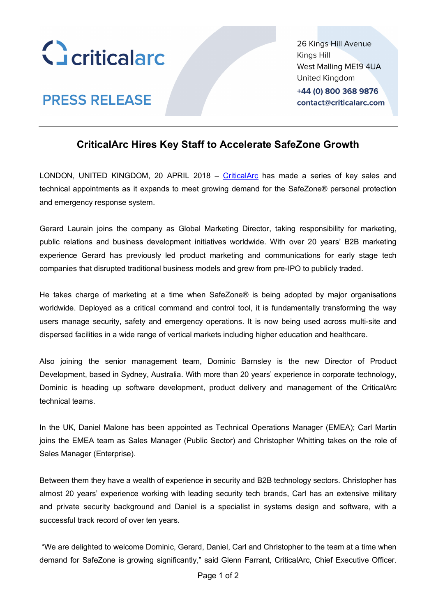

**PRESS RELEASE** 

26 Kings Hill Avenue Kings Hill West Malling ME19 4UA United Kingdom +44 (0) 800 368 9876 contact@criticalarc.com

# **CriticalArc Hires Key Staff to Accelerate SafeZone Growth**

LONDON, UNITED KINGDOM, 20 APRIL 2018 – CriticalArc has made a series of key sales and technical appointments as it expands to meet growing demand for the SafeZone® personal protection and emergency response system.

Gerard Laurain joins the company as Global Marketing Director, taking responsibility for marketing, public relations and business development initiatives worldwide. With over 20 years' B2B marketing experience Gerard has previously led product marketing and communications for early stage tech companies that disrupted traditional business models and grew from pre-IPO to publicly traded.

He takes charge of marketing at a time when SafeZone® is being adopted by major organisations worldwide. Deployed as a critical command and control tool, it is fundamentally transforming the way users manage security, safety and emergency operations. It is now being used across multi-site and dispersed facilities in a wide range of vertical markets including higher education and healthcare.

Also joining the senior management team, Dominic Barnsley is the new Director of Product Development, based in Sydney, Australia. With more than 20 years' experience in corporate technology, Dominic is heading up software development, product delivery and management of the CriticalArc technical teams.

In the UK, Daniel Malone has been appointed as Technical Operations Manager (EMEA); Carl Martin joins the EMEA team as Sales Manager (Public Sector) and Christopher Whitting takes on the role of Sales Manager (Enterprise).

Between them they have a wealth of experience in security and B2B technology sectors. Christopher has almost 20 years' experience working with leading security tech brands, Carl has an extensive military and private security background and Daniel is a specialist in systems design and software, with a successful track record of over ten years.

"We are delighted to welcome Dominic, Gerard, Daniel, Carl and Christopher to the team at a time when demand for SafeZone is growing significantly," said Glenn Farrant, CriticalArc, Chief Executive Officer.